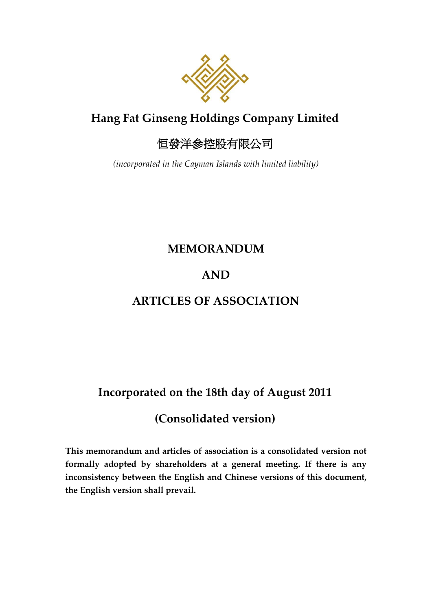

# **Hang Fat Ginseng Holdings Company Limited**

# 恒發洋參控股有限公司

*(incorporated in the Cayman Islands with limited liability)*

### **MEMORANDUM**

### **AND**

## **ARTICLES OF ASSOCIATION**

## **Incorporated on the 18th day of August 2011**

# **(Consolidated version)**

**This memorandum and articles of association is a consolidated version not formally adopted by shareholders at a general meeting. If there is any inconsistency between the English and Chinese versions of this document, the English version shall prevail.**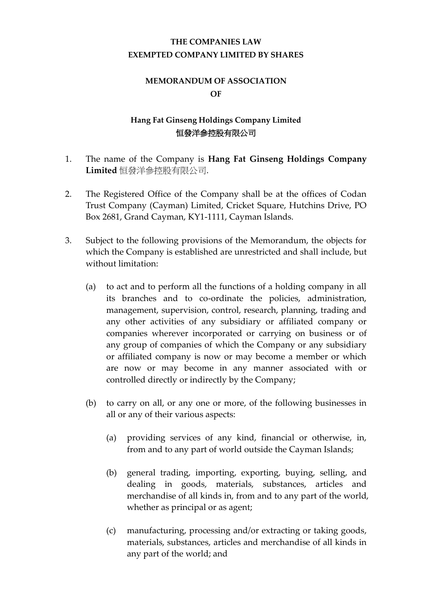### **THE COMPANIES LAW EXEMPTED COMPANY LIMITED BY SHARES**

#### **MEMORANDUM OF ASSOCIATION OF**

#### **Hang Fat Ginseng Holdings Company Limited** 恒發洋參控股有限公司

- 1. The name of the Company is **Hang Fat Ginseng Holdings Company Limited** 恒發洋參控股有限公司.
- 2. The Registered Office of the Company shall be at the offices of Codan Trust Company (Cayman) Limited, Cricket Square, Hutchins Drive, PO Box 2681, Grand Cayman, KY1-1111, Cayman Islands.
- 3. Subject to the following provisions of the Memorandum, the objects for which the Company is established are unrestricted and shall include, but without limitation:
	- (a) to act and to perform all the functions of a holding company in all its branches and to co-ordinate the policies, administration, management, supervision, control, research, planning, trading and any other activities of any subsidiary or affiliated company or companies wherever incorporated or carrying on business or of any group of companies of which the Company or any subsidiary or affiliated company is now or may become a member or which are now or may become in any manner associated with or controlled directly or indirectly by the Company;
	- (b) to carry on all, or any one or more, of the following businesses in all or any of their various aspects:
		- (a) providing services of any kind, financial or otherwise, in, from and to any part of world outside the Cayman Islands;
		- (b) general trading, importing, exporting, buying, selling, and dealing in goods, materials, substances, articles and merchandise of all kinds in, from and to any part of the world, whether as principal or as agent;
		- (c) manufacturing, processing and/or extracting or taking goods, materials, substances, articles and merchandise of all kinds in any part of the world; and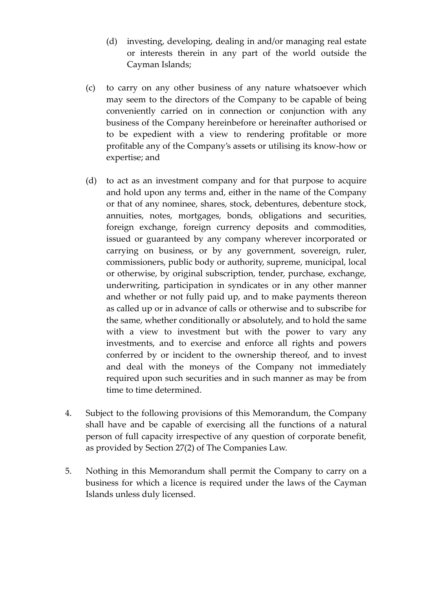- (d) investing, developing, dealing in and/or managing real estate or interests therein in any part of the world outside the Cayman Islands;
- (c) to carry on any other business of any nature whatsoever which may seem to the directors of the Company to be capable of being conveniently carried on in connection or conjunction with any business of the Company hereinbefore or hereinafter authorised or to be expedient with a view to rendering profitable or more profitable any of the Company's assets or utilising its know-how or expertise; and
- (d) to act as an investment company and for that purpose to acquire and hold upon any terms and, either in the name of the Company or that of any nominee, shares, stock, debentures, debenture stock, annuities, notes, mortgages, bonds, obligations and securities, foreign exchange, foreign currency deposits and commodities, issued or guaranteed by any company wherever incorporated or carrying on business, or by any government, sovereign, ruler, commissioners, public body or authority, supreme, municipal, local or otherwise, by original subscription, tender, purchase, exchange, underwriting, participation in syndicates or in any other manner and whether or not fully paid up, and to make payments thereon as called up or in advance of calls or otherwise and to subscribe for the same, whether conditionally or absolutely, and to hold the same with a view to investment but with the power to vary any investments, and to exercise and enforce all rights and powers conferred by or incident to the ownership thereof, and to invest and deal with the moneys of the Company not immediately required upon such securities and in such manner as may be from time to time determined.
- 4. Subject to the following provisions of this Memorandum, the Company shall have and be capable of exercising all the functions of a natural person of full capacity irrespective of any question of corporate benefit, as provided by Section 27(2) of The Companies Law.
- 5. Nothing in this Memorandum shall permit the Company to carry on a business for which a licence is required under the laws of the Cayman Islands unless duly licensed.